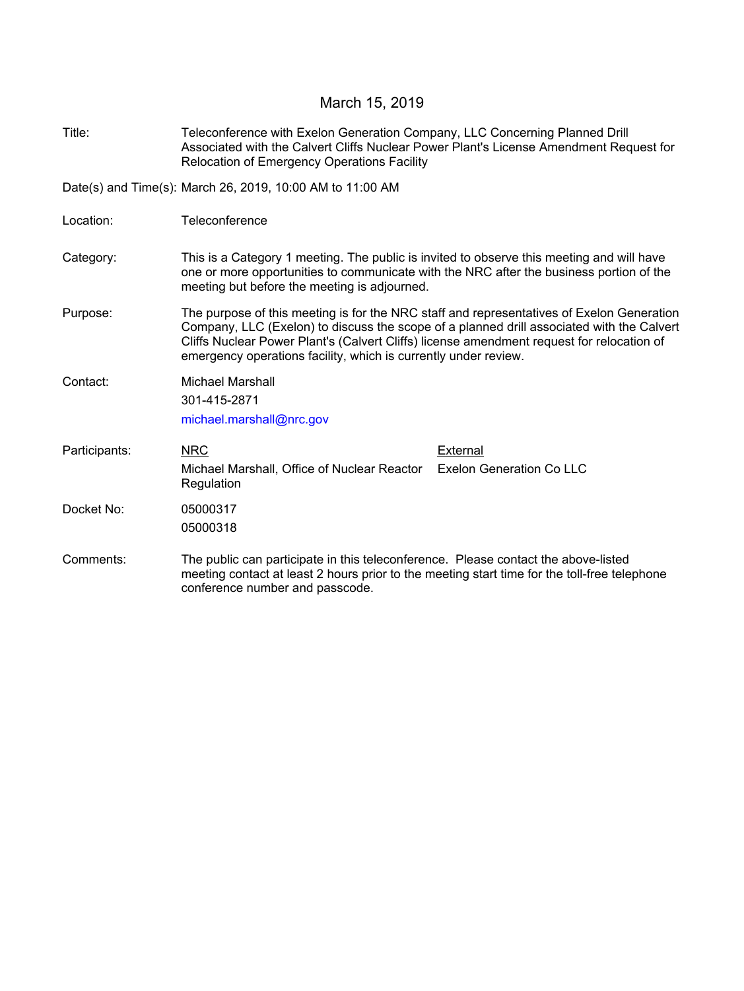## March 15, 2019

Title: Teleconference with Exelon Generation Company, LLC Concerning Planned Drill Associated with the Calvert Cliffs Nuclear Power Plant's License Amendment Request for Relocation of Emergency Operations Facility

Date(s) and Time(s): March 26, 2019, 10:00 AM to 11:00 AM

- Location: Teleconference
- Category: This is a Category 1 meeting. The public is invited to observe this meeting and will have one or more opportunities to communicate with the NRC after the business portion of the meeting but before the meeting is adjourned.
- Purpose: The purpose of this meeting is for the NRC staff and representatives of Exelon Generation Company, LLC (Exelon) to discuss the scope of a planned drill associated with the Calvert Cliffs Nuclear Power Plant's (Calvert Cliffs) license amendment request for relocation of emergency operations facility, which is currently under review.

Contact: Michael Marshall

301-415-2871

michael.marshall@nrc.gov

- NRC Michael Marshall, Office of Nuclear Reactor **Regulation** Participants: NRC NRC External Exelon Generation Co LLC Docket No: 05000317 05000318
- Comments: The public can participate in this teleconference. Please contact the above-listed meeting contact at least 2 hours prior to the meeting start time for the toll-free telephone conference number and passcode.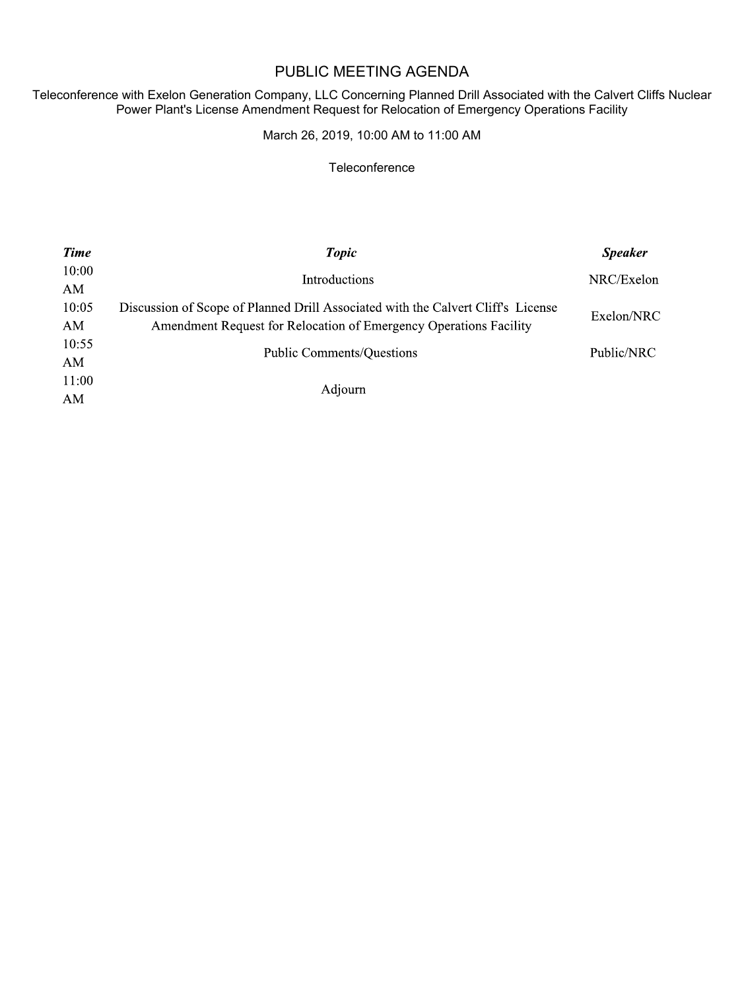## PUBLIC MEETING AGENDA

Teleconference with Exelon Generation Company, LLC Concerning Planned Drill Associated with the Calvert Cliffs Nuclear Power Plant's License Amendment Request for Relocation of Emergency Operations Facility

March 26, 2019, 10:00 AM to 11:00 AM

## **Teleconference**

| <b>Time</b> | <b>Topic</b>                                                                     | <b>Speaker</b> |
|-------------|----------------------------------------------------------------------------------|----------------|
| 10:00       | Introductions                                                                    | NRC/Exelon     |
| AM          |                                                                                  |                |
| 10:05       | Discussion of Scope of Planned Drill Associated with the Calvert Cliff's License | Exelon/NRC     |
| AM          | Amendment Request for Relocation of Emergency Operations Facility                |                |
| 10:55       | <b>Public Comments/Questions</b>                                                 | Public/NRC     |
| AM          |                                                                                  |                |
| 11:00       | Adjourn                                                                          |                |
| AM          |                                                                                  |                |